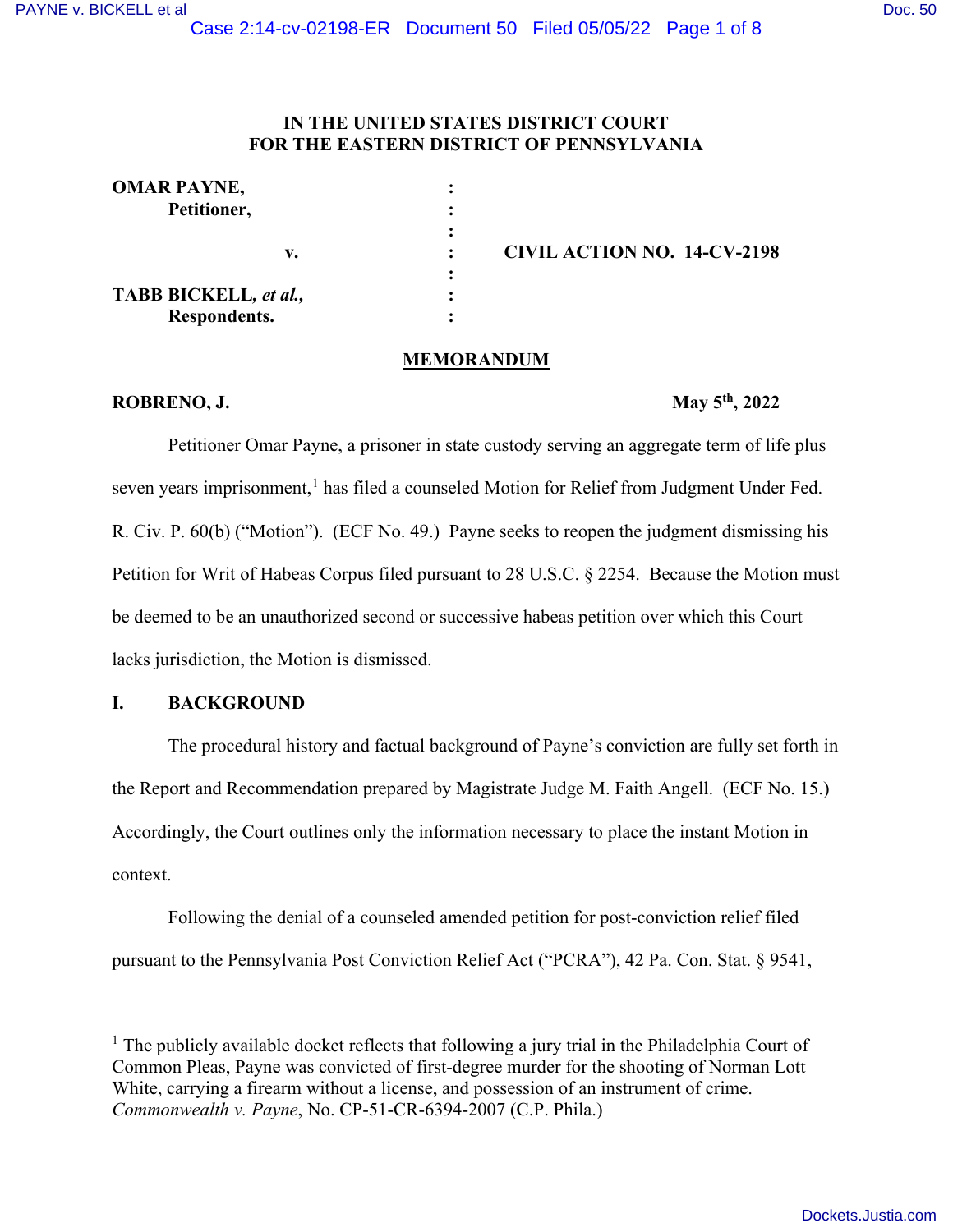## **IN THE UNITED STATES DISTRICT COURT FOR THE EASTERN DISTRICT OF PENNSYLVANIA**

| <b>OMAR PAYNE,</b>           |                                    |
|------------------------------|------------------------------------|
| Petitioner,                  |                                    |
|                              |                                    |
| v.                           | <b>CIVIL ACTION NO. 14-CV-2198</b> |
|                              |                                    |
| <b>TABB BICKELL, et al.,</b> |                                    |
| Respondents.                 |                                    |

#### **MEMORANDUM**

## **ROBRENO, J.** May 5<sup>th</sup>, 2022

Petitioner Omar Payne, a prisoner in state custody serving an aggregate term of life plus seven years imprisonment,<sup>[1](#page-0-0)</sup> has filed a counseled Motion for Relief from Judgment Under Fed. R. Civ. P. 60(b) ("Motion"). (ECF No. 49.) Payne seeks to reopen the judgment dismissing his Petition for Writ of Habeas Corpus filed pursuant to 28 U.S.C. § 2254. Because the Motion must be deemed to be an unauthorized second or successive habeas petition over which this Court lacks jurisdiction, the Motion is dismissed.

## **I. BACKGROUND**

 The procedural history and factual background of Payne's conviction are fully set forth in the Report and Recommendation prepared by Magistrate Judge M. Faith Angell. (ECF No. 15.) Accordingly, the Court outlines only the information necessary to place the instant Motion in context.

 Following the denial of a counseled amended petition for post-conviction relief filed pursuant to the Pennsylvania Post Conviction Relief Act ("PCRA"), 42 Pa. Con. Stat. § 9541,

<span id="page-0-0"></span><sup>&</sup>lt;sup>1</sup> The publicly available docket reflects that following a jury trial in the Philadelphia Court of Common Pleas, Payne was convicted of first-degree murder for the shooting of Norman Lott White, carrying a firearm without a license, and possession of an instrument of crime. *Commonwealth v. Payne*, No. CP-51-CR-6394-2007 (C.P. Phila.)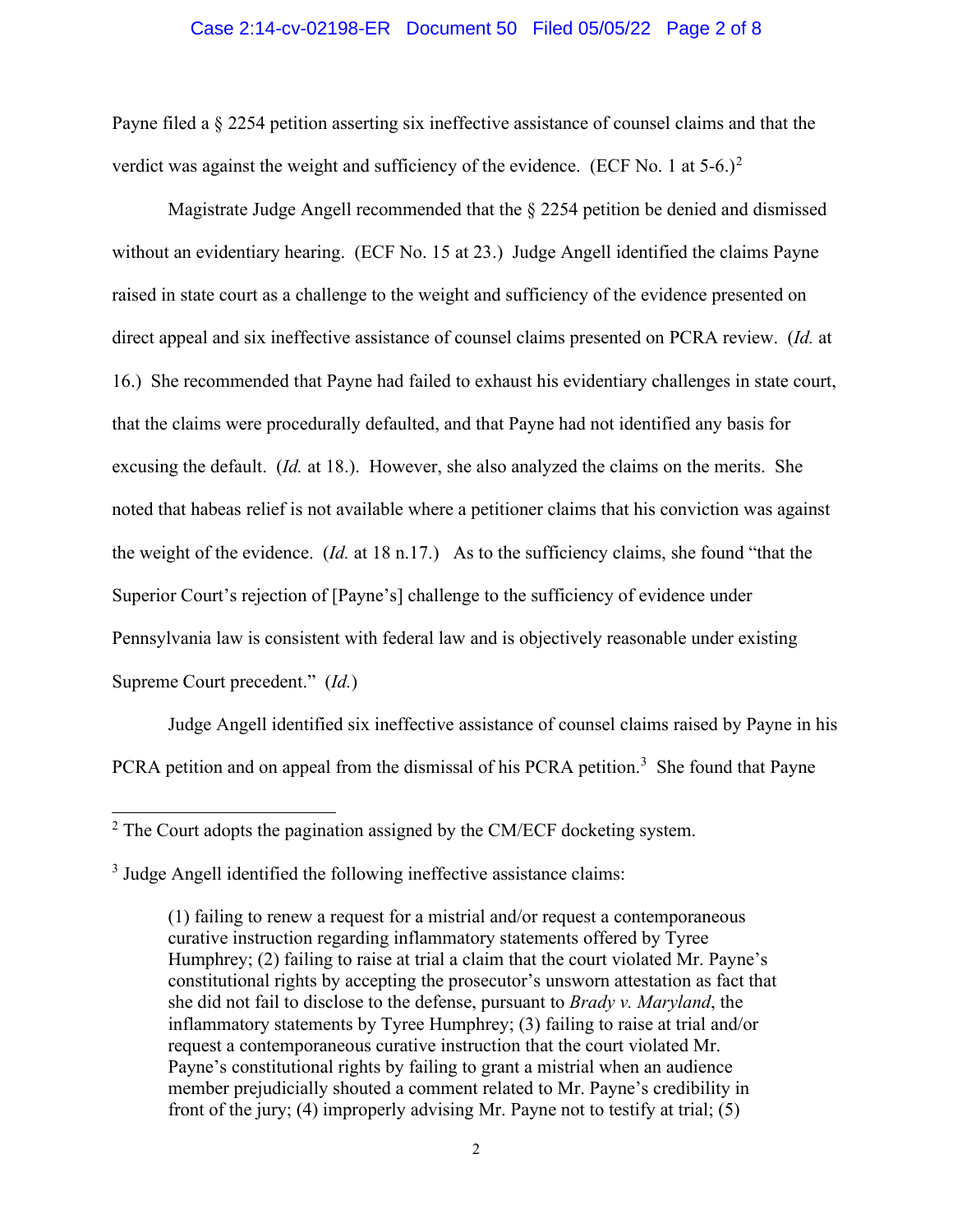### Case 2:14-cv-02198-ER Document 50 Filed 05/05/22 Page 2 of 8

Payne filed a § 2254 petition asserting six ineffective assistance of counsel claims and that the verdict was against the weight and sufficiency of the evidence. (ECF No. 1 at  $5-6.$ )<sup>[2](#page-1-0)</sup>

Magistrate Judge Angell recommended that the § 2254 petition be denied and dismissed without an evidentiary hearing. (ECF No. 15 at 23.) Judge Angell identified the claims Payne raised in state court as a challenge to the weight and sufficiency of the evidence presented on direct appeal and six ineffective assistance of counsel claims presented on PCRA review. (*Id.* at 16.) She recommended that Payne had failed to exhaust his evidentiary challenges in state court, that the claims were procedurally defaulted, and that Payne had not identified any basis for excusing the default. (*Id.* at 18.). However, she also analyzed the claims on the merits. She noted that habeas relief is not available where a petitioner claims that his conviction was against the weight of the evidence. (*Id.* at 18 n.17.) As to the sufficiency claims, she found "that the Superior Court's rejection of [Payne's] challenge to the sufficiency of evidence under Pennsylvania law is consistent with federal law and is objectively reasonable under existing Supreme Court precedent." (*Id.*)

 Judge Angell identified six ineffective assistance of counsel claims raised by Payne in his PCRA petition and on appeal from the dismissal of his PCRA petition.<sup>[3](#page-1-1)</sup> She found that Payne

<span id="page-1-0"></span> $2^2$  The Court adopts the pagination assigned by the CM/ECF docketing system.

<span id="page-1-1"></span><sup>&</sup>lt;sup>3</sup> Judge Angell identified the following ineffective assistance claims:

<sup>(1)</sup> failing to renew a request for a mistrial and/or request a contemporaneous curative instruction regarding inflammatory statements offered by Tyree Humphrey; (2) failing to raise at trial a claim that the court violated Mr. Payne's constitutional rights by accepting the prosecutor's unsworn attestation as fact that she did not fail to disclose to the defense, pursuant to *Brady v. Maryland*, the inflammatory statements by Tyree Humphrey; (3) failing to raise at trial and/or request a contemporaneous curative instruction that the court violated Mr. Payne's constitutional rights by failing to grant a mistrial when an audience member prejudicially shouted a comment related to Mr. Payne's credibility in front of the jury; (4) improperly advising Mr. Payne not to testify at trial; (5)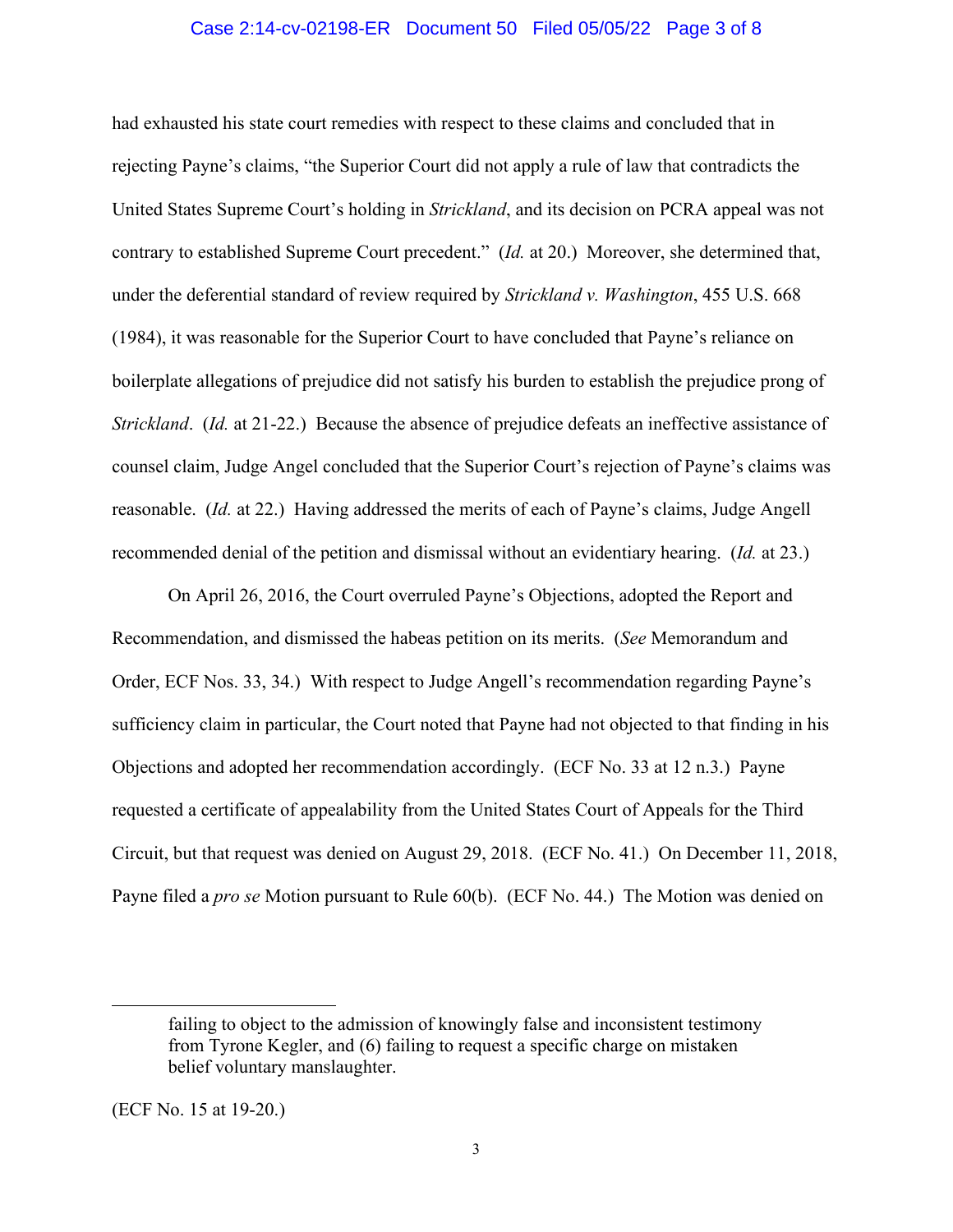### Case 2:14-cv-02198-ER Document 50 Filed 05/05/22 Page 3 of 8

had exhausted his state court remedies with respect to these claims and concluded that in rejecting Payne's claims, "the Superior Court did not apply a rule of law that contradicts the United States Supreme Court's holding in *Strickland*, and its decision on PCRA appeal was not contrary to established Supreme Court precedent." (*Id.* at 20.) Moreover, she determined that, under the deferential standard of review required by *Strickland v. Washington*, 455 U.S. 668 (1984), it was reasonable for the Superior Court to have concluded that Payne's reliance on boilerplate allegations of prejudice did not satisfy his burden to establish the prejudice prong of *Strickland*. (*Id.* at 21-22.) Because the absence of prejudice defeats an ineffective assistance of counsel claim, Judge Angel concluded that the Superior Court's rejection of Payne's claims was reasonable. (*Id.* at 22.) Having addressed the merits of each of Payne's claims, Judge Angell recommended denial of the petition and dismissal without an evidentiary hearing. (*Id.* at 23.)

On April 26, 2016, the Court overruled Payne's Objections, adopted the Report and Recommendation, and dismissed the habeas petition on its merits. (*See* Memorandum and Order, ECF Nos. 33, 34.) With respect to Judge Angell's recommendation regarding Payne's sufficiency claim in particular, the Court noted that Payne had not objected to that finding in his Objections and adopted her recommendation accordingly. (ECF No. 33 at 12 n.3.) Payne requested a certificate of appealability from the United States Court of Appeals for the Third Circuit, but that request was denied on August 29, 2018. (ECF No. 41.) On December 11, 2018, Payne filed a *pro se* Motion pursuant to Rule 60(b). (ECF No. 44.) The Motion was denied on

failing to object to the admission of knowingly false and inconsistent testimony from Tyrone Kegler, and (6) failing to request a specific charge on mistaken belief voluntary manslaughter.

<sup>(</sup>ECF No. 15 at 19-20.)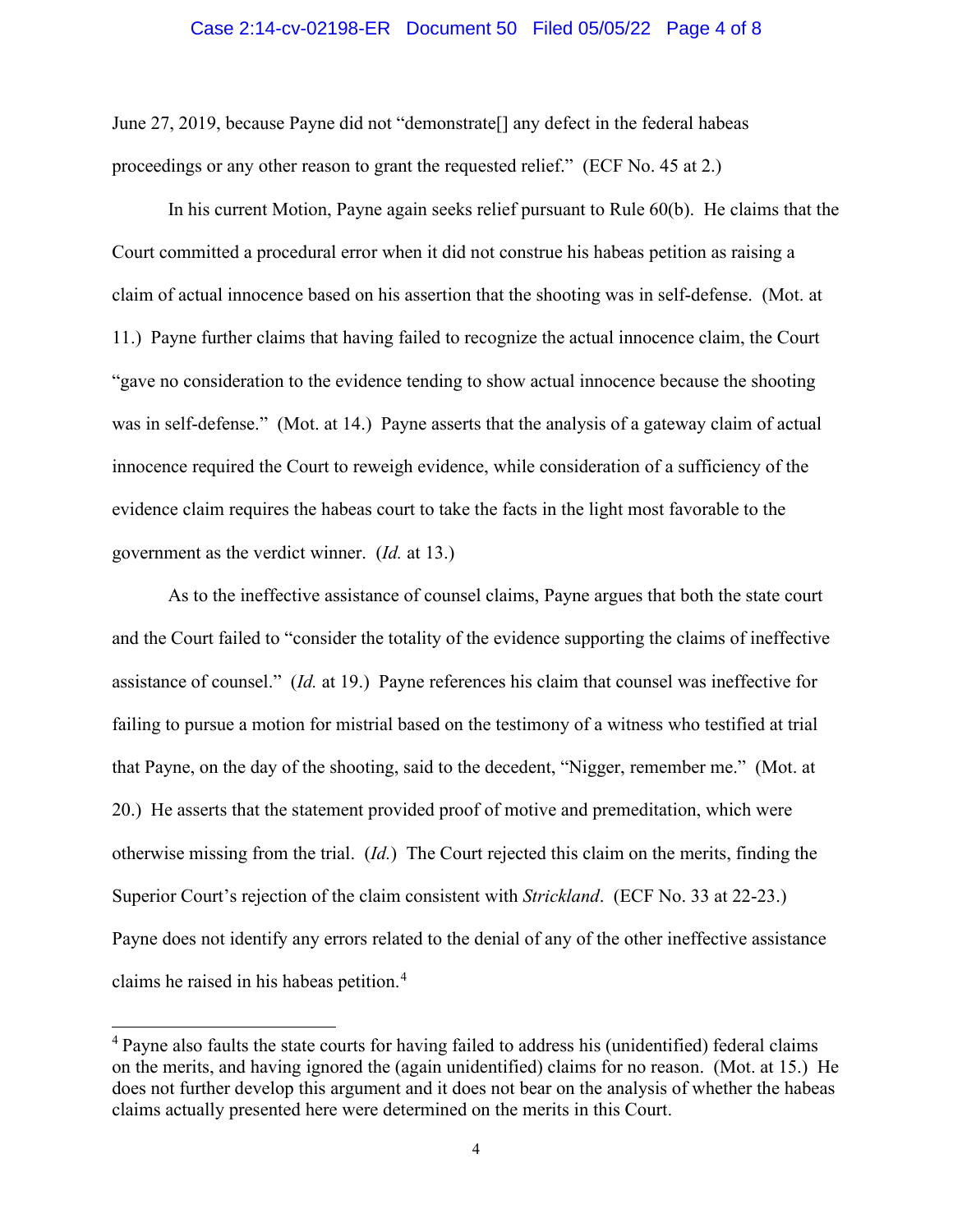#### Case 2:14-cv-02198-ER Document 50 Filed 05/05/22 Page 4 of 8

June 27, 2019, because Payne did not "demonstrate[] any defect in the federal habeas proceedings or any other reason to grant the requested relief." (ECF No. 45 at 2.)

 In his current Motion, Payne again seeks relief pursuant to Rule 60(b). He claims that the Court committed a procedural error when it did not construe his habeas petition as raising a claim of actual innocence based on his assertion that the shooting was in self-defense. (Mot. at 11.) Payne further claims that having failed to recognize the actual innocence claim, the Court "gave no consideration to the evidence tending to show actual innocence because the shooting was in self-defense." (Mot. at 14.) Payne asserts that the analysis of a gateway claim of actual innocence required the Court to reweigh evidence, while consideration of a sufficiency of the evidence claim requires the habeas court to take the facts in the light most favorable to the government as the verdict winner. (*Id.* at 13.)

As to the ineffective assistance of counsel claims, Payne argues that both the state court and the Court failed to "consider the totality of the evidence supporting the claims of ineffective assistance of counsel." (*Id.* at 19.) Payne references his claim that counsel was ineffective for failing to pursue a motion for mistrial based on the testimony of a witness who testified at trial that Payne, on the day of the shooting, said to the decedent, "Nigger, remember me." (Mot. at 20.) He asserts that the statement provided proof of motive and premeditation, which were otherwise missing from the trial. (*Id.*) The Court rejected this claim on the merits, finding the Superior Court's rejection of the claim consistent with *Strickland*. (ECF No. 33 at 22-23.) Payne does not identify any errors related to the denial of any of the other ineffective assistance claims he raised in his habeas petition.<sup>[4](#page-3-0)</sup>

<span id="page-3-0"></span><sup>&</sup>lt;sup>4</sup> Payne also faults the state courts for having failed to address his (unidentified) federal claims on the merits, and having ignored the (again unidentified) claims for no reason. (Mot. at 15.) He does not further develop this argument and it does not bear on the analysis of whether the habeas claims actually presented here were determined on the merits in this Court.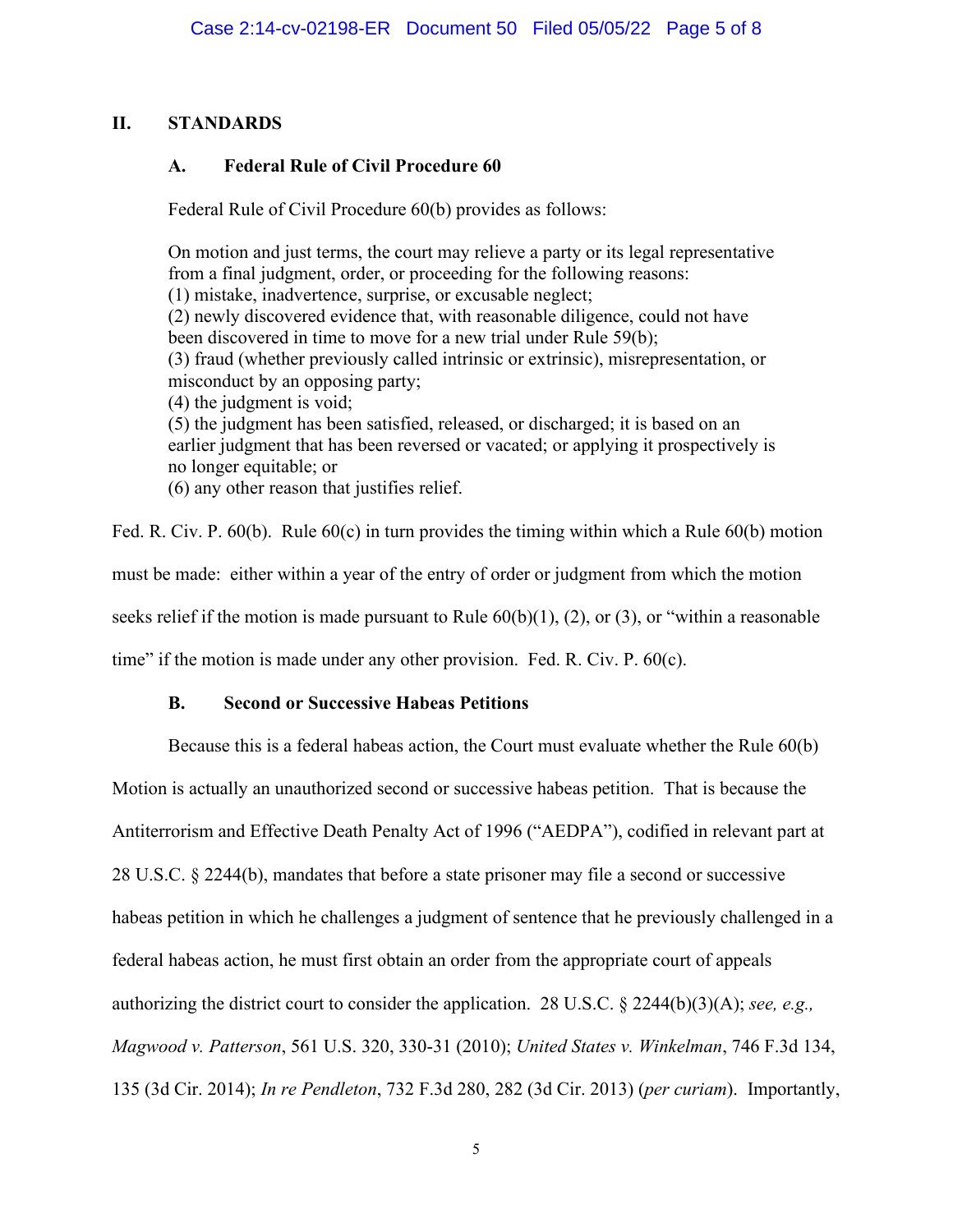# **II. STANDARDS**

# **A. Federal Rule of Civil Procedure 60**

Federal Rule of Civil Procedure 60(b) provides as follows:

On motion and just terms, the court may relieve a party or its legal representative from a final judgment, order, or proceeding for the following reasons: (1) mistake, inadvertence, surprise, or excusable neglect; (2) newly discovered evidence that, with reasonable diligence, could not have been discovered in time to move for a new trial under Rule 59(b); (3) fraud (whether previously called intrinsic or extrinsic), misrepresentation, or misconduct by an opposing party; (4) the judgment is void; (5) the judgment has been satisfied, released, or discharged; it is based on an earlier judgment that has been reversed or vacated; or applying it prospectively is no longer equitable; or (6) any other reason that justifies relief.

Fed. R. Civ. P. 60(b). Rule 60(c) in turn provides the timing within which a Rule 60(b) motion must be made: either within a year of the entry of order or judgment from which the motion seeks relief if the motion is made pursuant to Rule  $60(b)(1)$ , (2), or (3), or "within a reasonable time" if the motion is made under any other provision. Fed. R. Civ. P. 60(c).

## **B. Second or Successive Habeas Petitions**

Because this is a federal habeas action, the Court must evaluate whether the Rule 60(b)

Motion is actually an unauthorized second or successive habeas petition. That is because the

Antiterrorism and Effective Death Penalty Act of 1996 ("AEDPA"), codified in relevant part at

28 U.S.C. § 2244(b), mandates that before a state prisoner may file a second or successive

habeas petition in which he challenges a judgment of sentence that he previously challenged in a

federal habeas action, he must first obtain an order from the appropriate court of appeals

authorizing the district court to consider the application. 28 U.S.C. § 2244(b)(3)(A); *see, e.g.,* 

*Magwood v. Patterson*, 561 U.S. 320, 330-31 (2010); *United States v. Winkelman*, 746 F.3d 134,

135 (3d Cir. 2014); *In re Pendleton*, 732 F.3d 280, 282 (3d Cir. 2013) (*per curiam*). Importantly,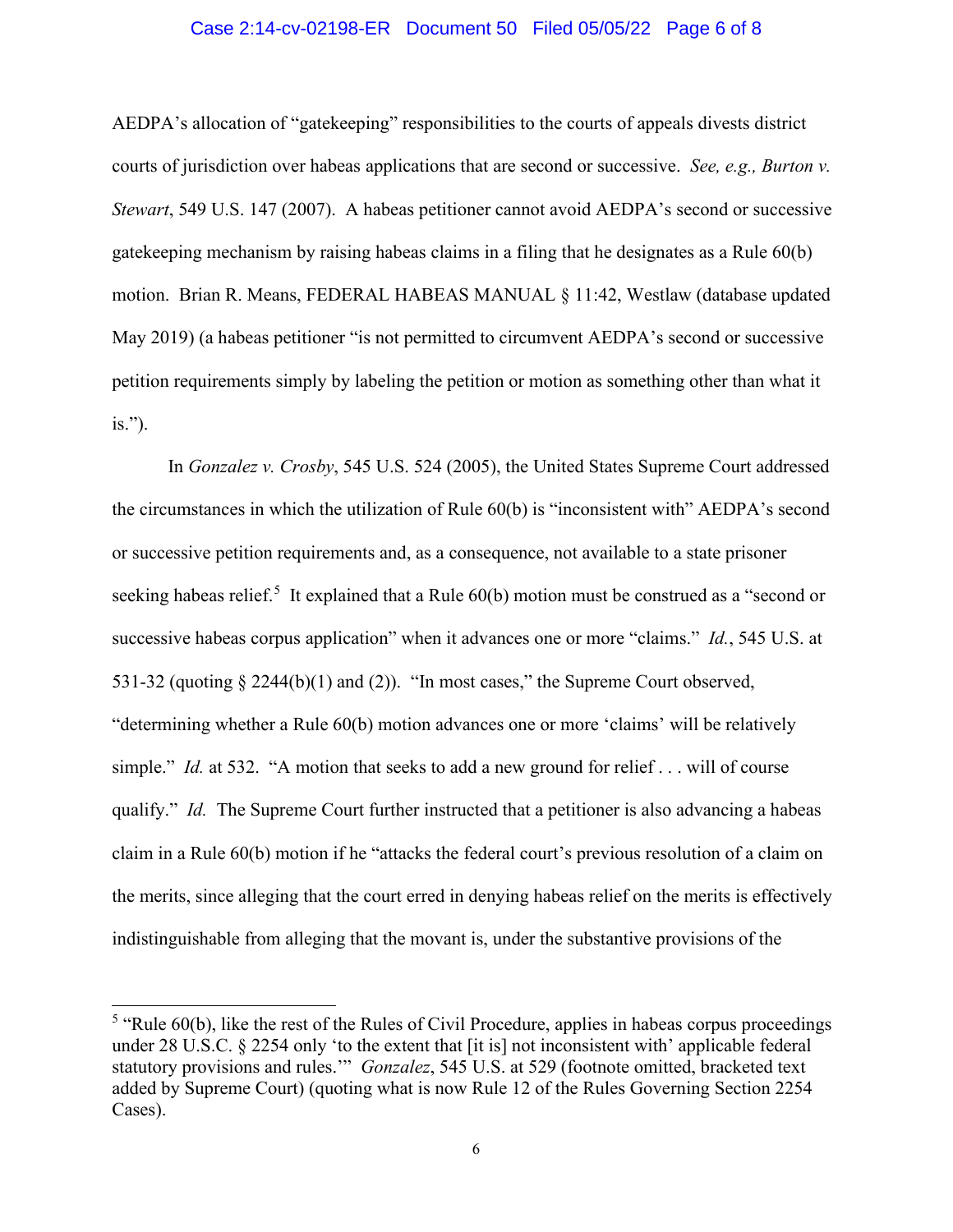### Case 2:14-cv-02198-ER Document 50 Filed 05/05/22 Page 6 of 8

AEDPA's allocation of "gatekeeping" responsibilities to the courts of appeals divests district courts of jurisdiction over habeas applications that are second or successive. *See, e.g., Burton v. Stewart*, 549 U.S. 147 (2007). A habeas petitioner cannot avoid AEDPA's second or successive gatekeeping mechanism by raising habeas claims in a filing that he designates as a Rule 60(b) motion. Brian R. Means, FEDERAL HABEAS MANUAL § 11:42, Westlaw (database updated May 2019) (a habeas petitioner "is not permitted to circumvent AEDPA's second or successive petition requirements simply by labeling the petition or motion as something other than what it is.").

In *Gonzalez v. Crosby*, 545 U.S. 524 (2005), the United States Supreme Court addressed the circumstances in which the utilization of Rule 60(b) is "inconsistent with" AEDPA's second or successive petition requirements and, as a consequence, not available to a state prisoner seeking habeas relief.<sup>[5](#page-5-0)</sup> It explained that a Rule  $60(b)$  motion must be construed as a "second or successive habeas corpus application" when it advances one or more "claims." *Id.*, 545 U.S. at 531-32 (quoting § 2244(b)(1) and (2)). "In most cases," the Supreme Court observed, "determining whether a Rule 60(b) motion advances one or more 'claims' will be relatively simple." *Id.* at 532. "A motion that seeks to add a new ground for relief . . . will of course qualify." *Id.* The Supreme Court further instructed that a petitioner is also advancing a habeas claim in a Rule 60(b) motion if he "attacks the federal court's previous resolution of a claim on the merits, since alleging that the court erred in denying habeas relief on the merits is effectively indistinguishable from alleging that the movant is, under the substantive provisions of the

<span id="page-5-0"></span> $<sup>5</sup>$  "Rule 60(b), like the rest of the Rules of Civil Procedure, applies in habeas corpus proceedings</sup> under 28 U.S.C. § 2254 only 'to the extent that [it is] not inconsistent with' applicable federal statutory provisions and rules.'" *Gonzalez*, 545 U.S. at 529 (footnote omitted, bracketed text added by Supreme Court) (quoting what is now Rule 12 of the Rules Governing Section 2254 Cases).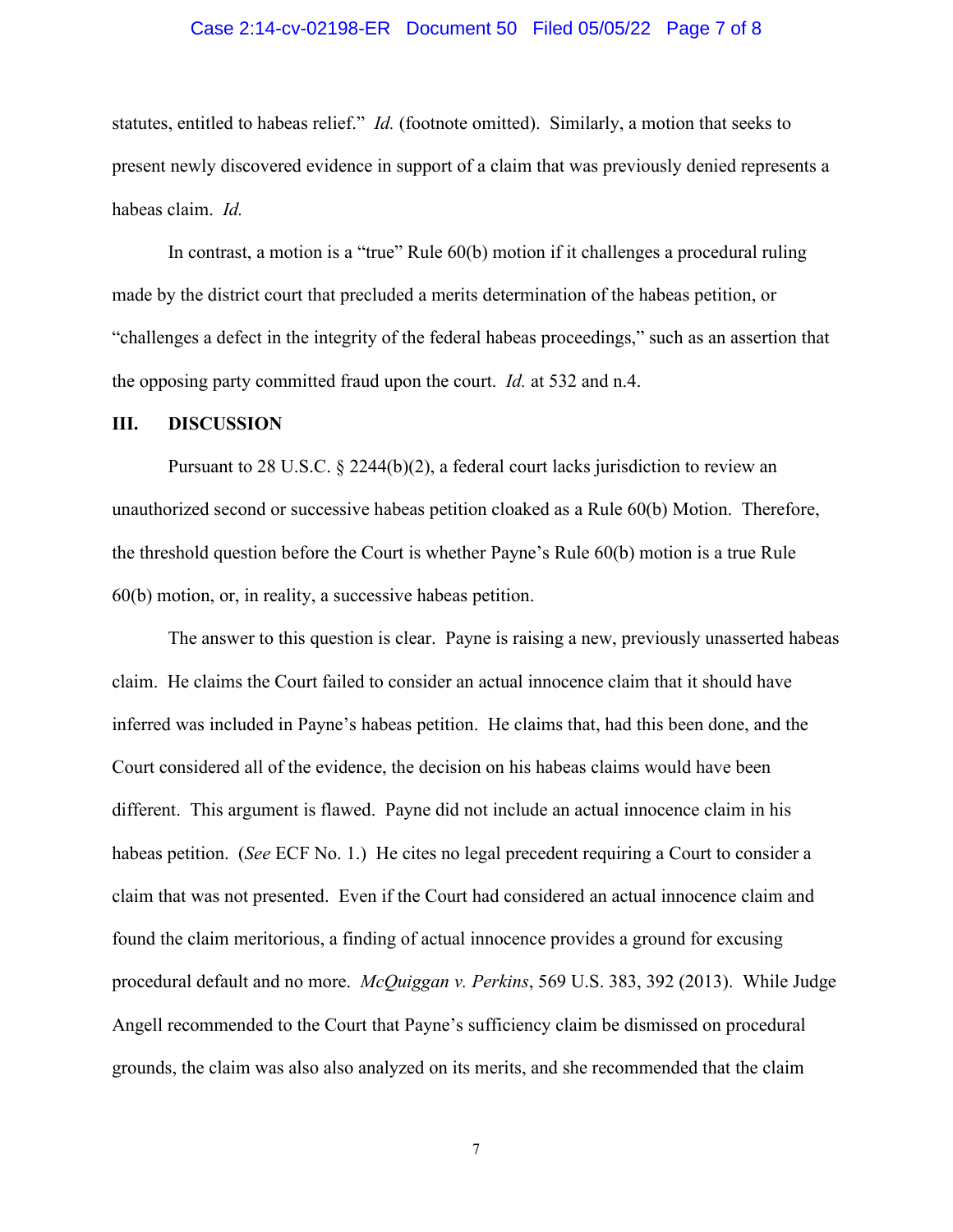### Case 2:14-cv-02198-ER Document 50 Filed 05/05/22 Page 7 of 8

statutes, entitled to habeas relief." *Id.* (footnote omitted). Similarly, a motion that seeks to present newly discovered evidence in support of a claim that was previously denied represents a habeas claim. *Id.*

 In contrast, a motion is a "true" Rule 60(b) motion if it challenges a procedural ruling made by the district court that precluded a merits determination of the habeas petition, or "challenges a defect in the integrity of the federal habeas proceedings," such as an assertion that the opposing party committed fraud upon the court. *Id.* at 532 and n.4.

#### **III. DISCUSSION**

Pursuant to 28 U.S.C. § 2244(b)(2), a federal court lacks jurisdiction to review an unauthorized second or successive habeas petition cloaked as a Rule 60(b) Motion. Therefore, the threshold question before the Court is whether Payne's Rule 60(b) motion is a true Rule 60(b) motion, or, in reality, a successive habeas petition.

The answer to this question is clear. Payne is raising a new, previously unasserted habeas claim. He claims the Court failed to consider an actual innocence claim that it should have inferred was included in Payne's habeas petition. He claims that, had this been done, and the Court considered all of the evidence, the decision on his habeas claims would have been different. This argument is flawed. Payne did not include an actual innocence claim in his habeas petition. (*See* ECF No. 1.) He cites no legal precedent requiring a Court to consider a claim that was not presented. Even if the Court had considered an actual innocence claim and found the claim meritorious, a finding of actual innocence provides a ground for excusing procedural default and no more. *McQuiggan v. Perkins*, 569 U.S. 383, 392 (2013). While Judge Angell recommended to the Court that Payne's sufficiency claim be dismissed on procedural grounds, the claim was also also analyzed on its merits, and she recommended that the claim

7